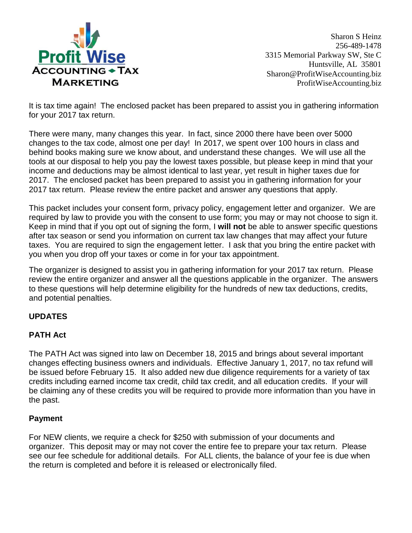

Sharon S Heinz 256-489-1478 3315 Memorial Parkway SW, Ste C Huntsville, AL 35801 Sharon@ProfitWiseAccounting.biz ProfitWiseAccounting.biz

It is tax time again! The enclosed packet has been prepared to assist you in gathering information for your 2017 tax return.

There were many, many changes this year. In fact, since 2000 there have been over 5000 changes to the tax code, almost one per day! In 2017, we spent over 100 hours in class and behind books making sure we know about, and understand these changes. We will use all the tools at our disposal to help you pay the lowest taxes possible, but please keep in mind that your income and deductions may be almost identical to last year, yet result in higher taxes due for 2017. The enclosed packet has been prepared to assist you in gathering information for your 2017 tax return. Please review the entire packet and answer any questions that apply.

This packet includes your consent form, privacy policy, engagement letter and organizer. We are required by law to provide you with the consent to use form; you may or may not choose to sign it. Keep in mind that if you opt out of signing the form, I **will not** be able to answer specific questions after tax season or send you information on current tax law changes that may affect your future taxes. You are required to sign the engagement letter. I ask that you bring the entire packet with you when you drop off your taxes or come in for your tax appointment.

The organizer is designed to assist you in gathering information for your 2017 tax return. Please review the entire organizer and answer all the questions applicable in the organizer. The answers to these questions will help determine eligibility for the hundreds of new tax deductions, credits, and potential penalties.

### **UPDATES**

### **PATH Act**

The PATH Act was signed into law on December 18, 2015 and brings about several important changes effecting business owners and individuals. Effective January 1, 2017, no tax refund will be issued before February 15. It also added new due diligence requirements for a variety of tax credits including earned income tax credit, child tax credit, and all education credits. If your will be claiming any of these credits you will be required to provide more information than you have in the past.

### **Payment**

For NEW clients, we require a check for \$250 with submission of your documents and organizer. This deposit may or may not cover the entire fee to prepare your tax return. Please see our fee schedule for additional details. For ALL clients, the balance of your fee is due when the return is completed and before it is released or electronically filed.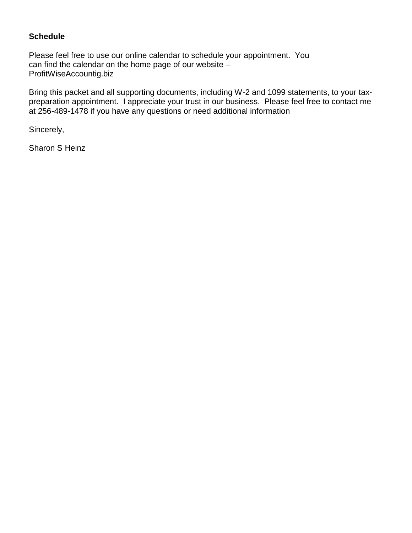### **Schedule**

Please feel free to use our online calendar to schedule your appointment. You can find the calendar on the home page of our website – ProfitWiseAccountig.biz

Bring this packet and all supporting documents, including W-2 and 1099 statements, to your taxpreparation appointment. I appreciate your trust in our business. Please feel free to contact me at 256-489-1478 if you have any questions or need additional information

Sincerely,

Sharon S Heinz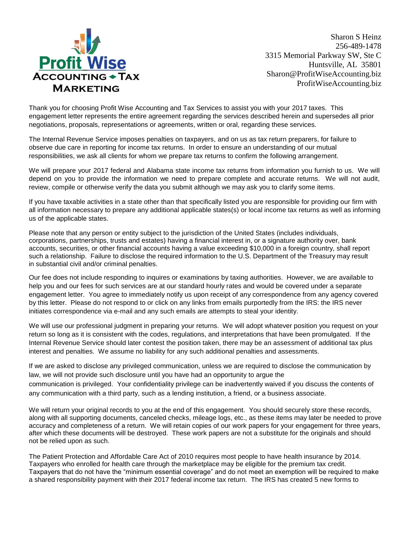

Sharon S Heinz 256-489-1478 3315 Memorial Parkway SW, Ste C Huntsville, AL 35801 Sharon@ProfitWiseAccounting.biz ProfitWiseAccounting.biz

Thank you for choosing Profit Wise Accounting and Tax Services to assist you with your 2017 taxes. This engagement letter represents the entire agreement regarding the services described herein and supersedes all prior negotiations, proposals, representations or agreements, written or oral, regarding these services.

The Internal Revenue Service imposes penalties on taxpayers, and on us as tax return preparers, for failure to observe due care in reporting for income tax returns. In order to ensure an understanding of our mutual responsibilities, we ask all clients for whom we prepare tax returns to confirm the following arrangement.

We will prepare your 2017 federal and Alabama state income tax returns from information you furnish to us. We will depend on you to provide the information we need to prepare complete and accurate returns. We will not audit, review, compile or otherwise verify the data you submit although we may ask you to clarify some items.

If you have taxable activities in a state other than that specifically listed you are responsible for providing our firm with all information necessary to prepare any additional applicable states(s) or local income tax returns as well as informing us of the applicable states.

Please note that any person or entity subject to the jurisdiction of the United States (includes individuals, corporations, partnerships, trusts and estates) having a financial interest in, or a signature authority over, bank accounts, securities, or other financial accounts having a value exceeding \$10,000 in a foreign country, shall report such a relationship. Failure to disclose the required information to the U.S. Department of the Treasury may result in substantial civil and/or criminal penalties.

Our fee does not include responding to inquires or examinations by taxing authorities. However, we are available to help you and our fees for such services are at our standard hourly rates and would be covered under a separate engagement letter. You agree to immediately notify us upon receipt of any correspondence from any agency covered by this letter. Please do not respond to or click on any links from emails purportedly from the IRS: the IRS never initiates correspondence via e-mail and any such emails are attempts to steal your identity.

We will use our professional judgment in preparing your returns. We will adopt whatever position you request on your return so long as it is consistent with the codes, regulations, and interpretations that have been promulgated. If the Internal Revenue Service should later contest the position taken, there may be an assessment of additional tax plus interest and penalties. We assume no liability for any such additional penalties and assessments.

If we are asked to disclose any privileged communication, unless we are required to disclose the communication by law, we will not provide such disclosure until you have had an opportunity to argue the communication is privileged. Your confidentiality privilege can be inadvertently waived if you discuss the contents of any communication with a third party, such as a lending institution, a friend, or a business associate.

We will return your original records to you at the end of this engagement. You should securely store these records, along with all supporting documents, canceled checks, mileage logs, etc., as these items may later be needed to prove accuracy and completeness of a return. We will retain copies of our work papers for your engagement for three years, after which these documents will be destroyed. These work papers are not a substitute for the originals and should not be relied upon as such.

The Patient Protection and Affordable Care Act of 2010 requires most people to have health insurance by 2014. Taxpayers who enrolled for health care through the marketplace may be eligible for the premium tax credit. Taxpayers that do not have the "minimum essential coverage" and do not meet an exemption will be required to make a shared responsibility payment with their 2017 federal income tax return. The IRS has created 5 new forms to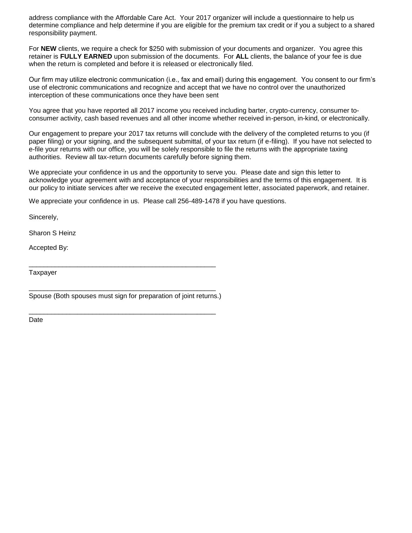address compliance with the Affordable Care Act. Your 2017 organizer will include a questionnaire to help us determine compliance and help determine if you are eligible for the premium tax credit or if you a subject to a shared responsibility payment.

For **NEW** clients, we require a check for \$250 with submission of your documents and organizer. You agree this retainer is **FULLY EARNED** upon submission of the documents. For **ALL** clients, the balance of your fee is due when the return is completed and before it is released or electronically filed.

Our firm may utilize electronic communication (i.e., fax and email) during this engagement. You consent to our firm's use of electronic communications and recognize and accept that we have no control over the unauthorized interception of these communications once they have been sent

You agree that you have reported all 2017 income you received including barter, crypto-currency, consumer toconsumer activity, cash based revenues and all other income whether received in-person, in-kind, or electronically.

Our engagement to prepare your 2017 tax returns will conclude with the delivery of the completed returns to you (if paper filing) or your signing, and the subsequent submittal, of your tax return (if e-filing). If you have not selected to e-file your returns with our office, you will be solely responsible to file the returns with the appropriate taxing authorities. Review all tax-return documents carefully before signing them.

We appreciate your confidence in us and the opportunity to serve you. Please date and sign this letter to acknowledge your agreement with and acceptance of your responsibilities and the terms of this engagement. It is our policy to initiate services after we receive the executed engagement letter, associated paperwork, and retainer.

We appreciate your confidence in us. Please call 256-489-1478 if you have questions.

Sincerely,

Sharon S Heinz

Accepted By:

**Taxpayer** 

\_\_\_\_\_\_\_\_\_\_\_\_\_\_\_\_\_\_\_\_\_\_\_\_\_\_\_\_\_\_\_\_\_\_\_\_\_\_\_\_\_\_\_\_\_\_\_\_\_\_ Spouse (Both spouses must sign for preparation of joint returns.)

\_\_\_\_\_\_\_\_\_\_\_\_\_\_\_\_\_\_\_\_\_\_\_\_\_\_\_\_\_\_\_\_\_\_\_\_\_\_\_\_\_\_\_\_\_\_\_\_\_\_

\_\_\_\_\_\_\_\_\_\_\_\_\_\_\_\_\_\_\_\_\_\_\_\_\_\_\_\_\_\_\_\_\_\_\_\_\_\_\_\_\_\_\_\_\_\_\_\_\_\_

Date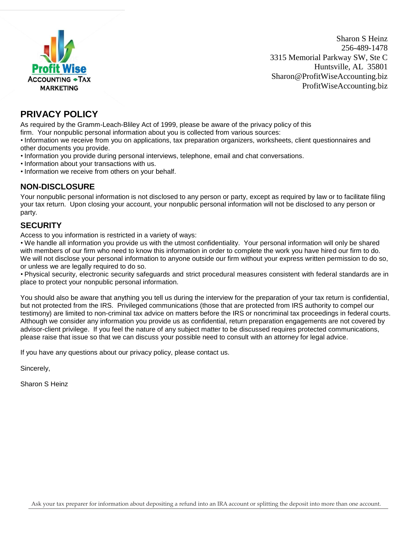

Sharon S Heinz 256-489-1478 3315 Memorial Parkway SW, Ste C Huntsville, AL 35801 Sharon@ProfitWiseAccounting.biz ProfitWiseAccounting.biz

### **PRIVACY POLICY**

As required by the Gramm-Leach-Bliley Act of 1999, please be aware of the privacy policy of this

firm. Your nonpublic personal information about you is collected from various sources:

• Information we receive from you on applications, tax preparation organizers, worksheets, client questionnaires and other documents you provide.

- Information you provide during personal interviews, telephone, email and chat conversations.
- Information about your transactions with us.
- Information we receive from others on your behalf.

#### **NON-DISCLOSURE**

Your nonpublic personal information is not disclosed to any person or party, except as required by law or to facilitate filing your tax return. Upon closing your account, your nonpublic personal information will not be disclosed to any person or party.

### **SECURITY**

Access to you information is restricted in a variety of ways:

• We handle all information you provide us with the utmost confidentiality. Your personal information will only be shared with members of our firm who need to know this information in order to complete the work you have hired our firm to do. We will not disclose your personal information to anyone outside our firm without your express written permission to do so, or unless we are legally required to do so.

• Physical security, electronic security safeguards and strict procedural measures consistent with federal standards are in place to protect your nonpublic personal information.

You should also be aware that anything you tell us during the interview for the preparation of your tax return is confidential, but not protected from the IRS. Privileged communications (those that are protected from IRS authority to compel our testimony) are limited to non-criminal tax advice on matters before the IRS or noncriminal tax proceedings in federal courts. Although we consider any information you provide us as confidential, return preparation engagements are not covered by advisor-client privilege. If you feel the nature of any subject matter to be discussed requires protected communications, please raise that issue so that we can discuss your possible need to consult with an attorney for legal advice.

If you have any questions about our privacy policy, please contact us.

Sincerely,

Sharon S Heinz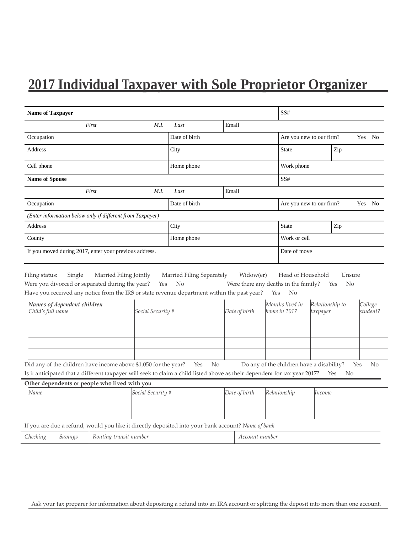# **2017 Individual Taxpayer with Sole Proprietor Organizer**

| <b>Name of Taxpayer</b>                                                                                                                                                                      |                        |                   |                | SS#            |                                      |     |                                           |                 |                       |           |
|----------------------------------------------------------------------------------------------------------------------------------------------------------------------------------------------|------------------------|-------------------|----------------|----------------|--------------------------------------|-----|-------------------------------------------|-----------------|-----------------------|-----------|
|                                                                                                                                                                                              | First                  | M.I.              | Last           |                | Email                                |     |                                           |                 |                       |           |
| Occupation                                                                                                                                                                                   |                        |                   | Date of birth  |                |                                      |     | Are you new to our firm?                  |                 |                       | Yes No    |
| Address                                                                                                                                                                                      |                        |                   | City           |                |                                      |     | State                                     |                 | Zip                   |           |
| Cell phone                                                                                                                                                                                   |                        |                   | Home phone     |                |                                      |     | Work phone                                |                 |                       |           |
| <b>Name of Spouse</b>                                                                                                                                                                        |                        |                   |                |                |                                      |     | SS#                                       |                 |                       |           |
|                                                                                                                                                                                              | First                  | M.I.              | Last           |                | Email                                |     |                                           |                 |                       |           |
| Occupation                                                                                                                                                                                   |                        |                   | Date of birth  |                |                                      |     | Are you new to our firm?                  |                 |                       | Yes No    |
| (Enter information below only if different from Taxpayer)                                                                                                                                    |                        |                   |                |                |                                      |     |                                           |                 |                       |           |
| Address                                                                                                                                                                                      |                        |                   | City           |                |                                      |     | <b>State</b>                              |                 | Zip                   |           |
| County                                                                                                                                                                                       |                        |                   | Home phone     |                |                                      |     | Work or cell                              |                 |                       |           |
| If you moved during 2017, enter your previous address.                                                                                                                                       |                        |                   |                |                | Date of move                         |     |                                           |                 |                       |           |
| Were you divorced or separated during the year?<br>Have you received any notice from the IRS or state revenue department within the past year?<br>Names of dependent children                |                        | Yes               | N <sub>o</sub> |                | Were there any deaths in the family? | Yes | N <sub>o</sub><br>Months lived in         | Relationship to | N <sub>0</sub><br>Yes | College   |
| Child's full name                                                                                                                                                                            |                        | Social Security # |                |                | Date of birth                        |     | home in 2017                              | taxpayer        |                       | student?  |
|                                                                                                                                                                                              |                        |                   |                |                |                                      |     |                                           |                 |                       |           |
| Did any of the children have income above \$1,050 for the year?<br>Is it anticipated that a different taxpayer will seek to claim a child listed above as their dependent for tax year 2017? |                        |                   | Yes            | N <sub>o</sub> |                                      |     | Do any of the children have a disability? |                 | Yes<br><b>No</b>      | Yes<br>No |
| Other dependents or people who lived with you<br>Name                                                                                                                                        |                        | Social Security # |                |                | Date of birth                        |     | Relationship                              | Income          |                       |           |
|                                                                                                                                                                                              |                        |                   |                |                |                                      |     |                                           |                 |                       |           |
|                                                                                                                                                                                              |                        |                   |                |                |                                      |     |                                           |                 |                       |           |
| If you are due a refund, would you like it directly deposited into your bank account? Name of bank                                                                                           |                        |                   |                |                |                                      |     |                                           |                 |                       |           |
| Checking<br>Savings                                                                                                                                                                          | Routing transit number |                   |                |                | Account number                       |     |                                           |                 |                       |           |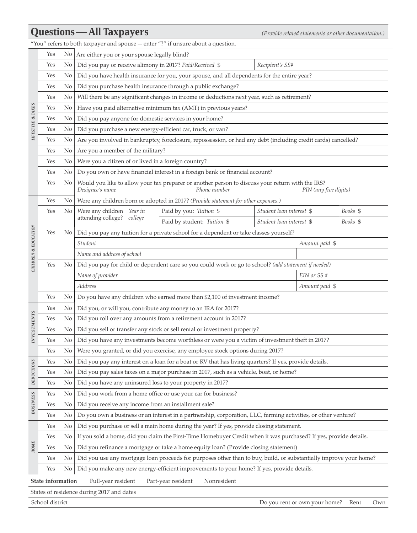# **Questions—All Taxpayers** *(Provide related statements or other documentation.)*

"You" refers to both taxpayer and spouse—enter "?" if unsure about a question.

|                                                                                                          | Yes                                                                                                                         |                                                                                                          | No Are either you or your spouse legally blind?                |                                                                                                                   |                          |                               |          |     |  |  |  |  |  |
|----------------------------------------------------------------------------------------------------------|-----------------------------------------------------------------------------------------------------------------------------|----------------------------------------------------------------------------------------------------------|----------------------------------------------------------------|-------------------------------------------------------------------------------------------------------------------|--------------------------|-------------------------------|----------|-----|--|--|--|--|--|
|                                                                                                          | Yes                                                                                                                         | No                                                                                                       |                                                                | Did you pay or receive alimony in 2017? Paid/Received \$<br>Recipient's SS#                                       |                          |                               |          |     |  |  |  |  |  |
|                                                                                                          | Yes                                                                                                                         | $\rm No$                                                                                                 |                                                                | Did you have health insurance for you, your spouse, and all dependents for the entire year?                       |                          |                               |          |     |  |  |  |  |  |
|                                                                                                          | Yes                                                                                                                         | No                                                                                                       | Did you purchase health insurance through a public exchange?   |                                                                                                                   |                          |                               |          |     |  |  |  |  |  |
|                                                                                                          | Yes                                                                                                                         | Will there be any significant changes in income or deductions next year, such as retirement?<br>$\rm No$ |                                                                |                                                                                                                   |                          |                               |          |     |  |  |  |  |  |
|                                                                                                          | Yes                                                                                                                         | No                                                                                                       | Have you paid alternative minimum tax (AMT) in previous years? |                                                                                                                   |                          |                               |          |     |  |  |  |  |  |
|                                                                                                          | Yes                                                                                                                         | $\rm No$                                                                                                 |                                                                | Did you pay anyone for domestic services in your home?                                                            |                          |                               |          |     |  |  |  |  |  |
| <b>LIFESTYLE &amp; TAXES</b><br>Did you purchase a new energy-efficient car, truck, or van?<br>Yes<br>No |                                                                                                                             |                                                                                                          |                                                                |                                                                                                                   |                          |                               |          |     |  |  |  |  |  |
|                                                                                                          | Are you involved in bankruptcy, foreclosure, repossession, or had any debt (including credit cards) cancelled?<br>Yes<br>No |                                                                                                          |                                                                |                                                                                                                   |                          |                               |          |     |  |  |  |  |  |
| Are you a member of the military?<br>$\rm No$<br>Yes                                                     |                                                                                                                             |                                                                                                          |                                                                |                                                                                                                   |                          |                               |          |     |  |  |  |  |  |
|                                                                                                          | Yes                                                                                                                         | $\rm No$                                                                                                 | Were you a citizen of or lived in a foreign country?           |                                                                                                                   |                          |                               |          |     |  |  |  |  |  |
|                                                                                                          | Yes                                                                                                                         | No                                                                                                       |                                                                | Do you own or have financial interest in a foreign bank or financial account?                                     |                          |                               |          |     |  |  |  |  |  |
|                                                                                                          | Yes                                                                                                                         | No                                                                                                       | Designee's name                                                | Would you like to allow your tax preparer or another person to discuss your return with the IRS?<br>Phone number  |                          | PIN (any five digits)         |          |     |  |  |  |  |  |
|                                                                                                          | Yes                                                                                                                         | No                                                                                                       |                                                                | Were any children born or adopted in 2017? (Provide statement for other expenses.)                                |                          |                               |          |     |  |  |  |  |  |
|                                                                                                          | Yes                                                                                                                         | $\rm No$                                                                                                 | Were any children Year in                                      | Paid by you: Tuition \$                                                                                           | Student loan interest \$ |                               | Books \$ |     |  |  |  |  |  |
|                                                                                                          |                                                                                                                             |                                                                                                          | attending college? college                                     | Paid by student: Tuition \$                                                                                       | Student loan interest \$ |                               | Books \$ |     |  |  |  |  |  |
| CHILDREN & EDUCATION                                                                                     | Yes                                                                                                                         | No                                                                                                       |                                                                | Did you pay any tuition for a private school for a dependent or take classes yourself?                            |                          |                               |          |     |  |  |  |  |  |
|                                                                                                          |                                                                                                                             |                                                                                                          | Student                                                        |                                                                                                                   |                          | Amount paid \$                |          |     |  |  |  |  |  |
|                                                                                                          |                                                                                                                             |                                                                                                          | Name and address of school                                     |                                                                                                                   |                          |                               |          |     |  |  |  |  |  |
|                                                                                                          | Yes                                                                                                                         | No.                                                                                                      |                                                                | Did you pay for child or dependent care so you could work or go to school? (add statement if needed)              |                          |                               |          |     |  |  |  |  |  |
|                                                                                                          |                                                                                                                             |                                                                                                          | Name of provider                                               |                                                                                                                   |                          | EIN or SS #                   |          |     |  |  |  |  |  |
|                                                                                                          |                                                                                                                             |                                                                                                          | Address                                                        |                                                                                                                   |                          | Amount paid \$                |          |     |  |  |  |  |  |
|                                                                                                          | Yes                                                                                                                         | No                                                                                                       |                                                                | Do you have any children who earned more than \$2,100 of investment income?                                       |                          |                               |          |     |  |  |  |  |  |
|                                                                                                          | Yes                                                                                                                         | N <sub>o</sub>                                                                                           | Did you, or will you, contribute any money to an IRA for 2017? |                                                                                                                   |                          |                               |          |     |  |  |  |  |  |
| <b>INVESTMENTS</b>                                                                                       | Yes                                                                                                                         | $\rm No$                                                                                                 |                                                                | Did you roll over any amounts from a retirement account in 2017?                                                  |                          |                               |          |     |  |  |  |  |  |
|                                                                                                          | Yes                                                                                                                         | No                                                                                                       |                                                                | Did you sell or transfer any stock or sell rental or investment property?                                         |                          |                               |          |     |  |  |  |  |  |
|                                                                                                          | Yes                                                                                                                         | No                                                                                                       |                                                                | Did you have any investments become worthless or were you a victim of investment theft in 2017?                   |                          |                               |          |     |  |  |  |  |  |
|                                                                                                          | Yes                                                                                                                         | No I                                                                                                     |                                                                | Were you granted, or did you exercise, any employee stock options during 2017?                                    |                          |                               |          |     |  |  |  |  |  |
|                                                                                                          | Yes                                                                                                                         | No                                                                                                       |                                                                | Did you pay any interest on a loan for a boat or RV that has living quarters? If yes, provide details.            |                          |                               |          |     |  |  |  |  |  |
| DEDUCTIONS                                                                                               | Yes                                                                                                                         | $\rm No$                                                                                                 |                                                                | Did you pay sales taxes on a major purchase in 2017, such as a vehicle, boat, or home?                            |                          |                               |          |     |  |  |  |  |  |
|                                                                                                          | Yes                                                                                                                         | No                                                                                                       | Did you have any uninsured loss to your property in 2017?      |                                                                                                                   |                          |                               |          |     |  |  |  |  |  |
| <b>BUSINESS</b>                                                                                          | Yes                                                                                                                         | No                                                                                                       | Did you work from a home office or use your car for business?  |                                                                                                                   |                          |                               |          |     |  |  |  |  |  |
|                                                                                                          | Yes                                                                                                                         | No                                                                                                       | Did you receive any income from an installment sale?           |                                                                                                                   |                          |                               |          |     |  |  |  |  |  |
|                                                                                                          | Yes                                                                                                                         | No                                                                                                       |                                                                | Do you own a business or an interest in a partnership, corporation, LLC, farming activities, or other venture?    |                          |                               |          |     |  |  |  |  |  |
|                                                                                                          | Yes                                                                                                                         | No                                                                                                       |                                                                | Did you purchase or sell a main home during the year? If yes, provide closing statement.                          |                          |                               |          |     |  |  |  |  |  |
|                                                                                                          | Yes                                                                                                                         | No                                                                                                       |                                                                | If you sold a home, did you claim the First-Time Homebuyer Credit when it was purchased? If yes, provide details. |                          |                               |          |     |  |  |  |  |  |
| <b>HOME</b>                                                                                              | Yes                                                                                                                         | No                                                                                                       |                                                                | Did you refinance a mortgage or take a home equity loan? (Provide closing statement)                              |                          |                               |          |     |  |  |  |  |  |
|                                                                                                          | Yes                                                                                                                         | No                                                                                                       |                                                                | Did you use any mortgage loan proceeds for purposes other than to buy, build, or substantially improve your home? |                          |                               |          |     |  |  |  |  |  |
|                                                                                                          | Yes                                                                                                                         | No                                                                                                       |                                                                | Did you make any new energy-efficient improvements to your home? If yes, provide details.                         |                          |                               |          |     |  |  |  |  |  |
|                                                                                                          | State information                                                                                                           |                                                                                                          | Full-year resident                                             | Part-year resident<br>Nonresident                                                                                 |                          |                               |          |     |  |  |  |  |  |
|                                                                                                          |                                                                                                                             |                                                                                                          | States of residence during 2017 and dates                      |                                                                                                                   |                          |                               |          |     |  |  |  |  |  |
|                                                                                                          | School district                                                                                                             |                                                                                                          |                                                                |                                                                                                                   |                          | Do you rent or own your home? | Rent     | Own |  |  |  |  |  |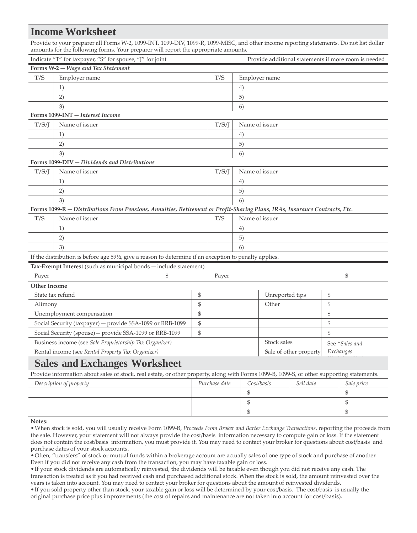### **Income Worksheet**

Provide to your preparer all Forms W-2, 1099-INT, 1099-DIV, 1099-R, 1099-MISC, and other income reporting statements. Do not list dollar amounts for the following forms. Your preparer will report the appropriate amounts.

|                                                           | Indicate "T" for taxpayer, "S" for spouse, "J" for joint                                                                   |    |    |       |                | Provide additional statements if more room is needed |                |  |
|-----------------------------------------------------------|----------------------------------------------------------------------------------------------------------------------------|----|----|-------|----------------|------------------------------------------------------|----------------|--|
|                                                           | Forms W-2 - Wage and Tax Statement                                                                                         |    |    |       |                |                                                      |                |  |
| T/S                                                       | Employer name                                                                                                              |    |    | T/S   |                | Employer name                                        |                |  |
|                                                           | 1)                                                                                                                         |    |    |       | 4)             |                                                      |                |  |
|                                                           | 2)                                                                                                                         |    |    |       | 5)             |                                                      |                |  |
|                                                           | 3)                                                                                                                         |    |    |       | 6)             |                                                      |                |  |
|                                                           | Forms 1099-INT - Interest Income                                                                                           |    |    |       |                |                                                      |                |  |
| T/S/J                                                     | Name of issuer                                                                                                             |    |    | T/S/J | Name of issuer |                                                      |                |  |
|                                                           | 1)                                                                                                                         |    |    |       | 4)             |                                                      |                |  |
|                                                           | 2)                                                                                                                         |    |    |       | 5)             |                                                      |                |  |
|                                                           | 3)                                                                                                                         |    |    |       | 6)             |                                                      |                |  |
|                                                           | Forms 1099-DIV - Dividends and Distributions                                                                               |    |    |       |                |                                                      |                |  |
| T/S/J                                                     | Name of issuer                                                                                                             |    |    | T/S/J | Name of issuer |                                                      |                |  |
|                                                           | 1)                                                                                                                         |    |    |       | 4)             |                                                      |                |  |
|                                                           | 2)                                                                                                                         |    |    |       | 5)             |                                                      |                |  |
| 3)                                                        |                                                                                                                            |    |    |       | 6)             |                                                      |                |  |
|                                                           | Forms 1099-R - Distributions From Pensions, Annuities, Retirement or Profit-Sharing Plans, IRAs, Insurance Contracts, Etc. |    |    |       |                |                                                      |                |  |
| Name of issuer<br>T/S                                     |                                                                                                                            |    |    | T/S   |                | Name of issuer                                       |                |  |
|                                                           | 1)                                                                                                                         |    |    |       | 4)             |                                                      |                |  |
|                                                           | 2)                                                                                                                         |    |    |       | 5)             |                                                      |                |  |
|                                                           | 3)                                                                                                                         |    |    |       | 6)             |                                                      |                |  |
|                                                           | If the distribution is before age 59½, give a reason to determine if an exception to penalty applies.                      |    |    |       |                |                                                      |                |  |
|                                                           | Tax-Exempt Interest (such as municipal bonds - include statement)                                                          |    |    |       |                |                                                      |                |  |
| Payer                                                     |                                                                                                                            | \$ |    | Payer |                |                                                      | \$             |  |
| <b>Other Income</b>                                       |                                                                                                                            |    |    |       |                |                                                      |                |  |
| State tax refund                                          |                                                                                                                            |    | \$ |       |                | Unreported tips                                      | \$             |  |
| Alimony                                                   |                                                                                                                            |    | \$ |       |                | Other                                                | \$             |  |
| Unemployment compensation                                 |                                                                                                                            |    | \$ |       |                |                                                      | \$             |  |
| Social Security (taxpayer) - provide SSA-1099 or RRB-1099 |                                                                                                                            |    | \$ |       |                |                                                      | \$             |  |
|                                                           | Social Security (spouse) - provide SSA-1099 or RRB-1099                                                                    |    | \$ |       |                |                                                      | $\frac{1}{2}$  |  |
|                                                           | Business income (see Sole Proprietorship Tax Organizer)                                                                    |    |    |       |                | Stock sales                                          | See "Sales and |  |
|                                                           | Rental income (see Rental Property Tax Organizer)                                                                          |    |    |       |                | Sale of other property                               | Exchanges      |  |
|                                                           | $\mathbf{C}$ . The set of $\mathbf{C}$ is the set of $\mathbf{W}$ is the set of $\mathbf{C}$                               |    |    |       |                |                                                      |                |  |

### **Sales and Exchanges Worksheet**

Provide information about sales of stock, real estate, or other property, along with Forms 1099-B, 1099-S, or other supporting statements.

| Description of property | Purchase date | Cost/basis | Sell date | Sale price |
|-------------------------|---------------|------------|-----------|------------|
|                         |               |            |           |            |
|                         |               |            |           |            |
|                         |               |            |           |            |

#### **Notes:**

•When stock is sold, you will usually receive Form 1099-B, *Proceeds From Broker and Barter Exchange Transactions,* reporting the proceeds from the sale. However, your statement will not always provide the cost/basis information necessary to compute gain or loss. If the statement does not contain the cost/basis information, you must provide it. You may need to contact your broker for questions about cost/basis and purchase dates of your stock accounts.

•Often, "transfers" of stock or mutual funds within a brokerage account are actually sales of one type of stock and purchase of another. Even if you did not receive any cash from the transaction, you may have taxable gain or loss.

•If your stock dividends are automatically reinvested, the dividends will be taxable even though you did not receive any cash. The transaction is treated as if you had received cash and purchased additional stock. When the stock is sold, the amount reinvested over the years is taken into account. You may need to contact your broker for questions about the amount of reinvested dividends.

•If you sold property other than stock, your taxable gain or loss will be determined by your cost/basis. The cost/basis is usually the original purchase price plus improvements (the cost of repairs and maintenance are not taken into account for cost/basis).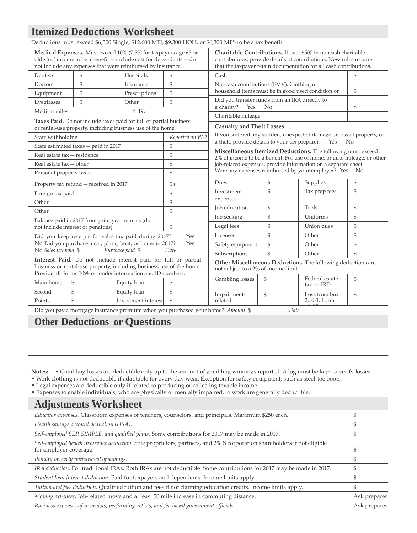# **Itemized Deductions Worksheet**

|                                                          |                                                  | Deductions must exceed \$6,300 Single, \$12,600 MFJ, \$9,300 HOH, or \$6,300 MFS to be a tax benefit.                                                                                                            |                 |                                                                                                                                                                                                            |              |                                                                                                                                                                                                           |                |  |
|----------------------------------------------------------|--------------------------------------------------|------------------------------------------------------------------------------------------------------------------------------------------------------------------------------------------------------------------|-----------------|------------------------------------------------------------------------------------------------------------------------------------------------------------------------------------------------------------|--------------|-----------------------------------------------------------------------------------------------------------------------------------------------------------------------------------------------------------|----------------|--|
|                                                          |                                                  | <b>Medical Expenses.</b> Must exceed 10% (7.5% for taxpayers age 65 or<br>older) of income to be a benefit $-$ include cost for dependents $-$ do<br>not include any expenses that were reimbursed by insurance. |                 |                                                                                                                                                                                                            |              | Charitable Contributions. If over \$500 in noncash charitable<br>contributions, provide details of contributions. New rules require<br>that the taxpayer retain documentation for all cash contributions. |                |  |
| Dentists                                                 | $\mathcal{S}$                                    | Hospitals                                                                                                                                                                                                        | \$              | Cash                                                                                                                                                                                                       |              |                                                                                                                                                                                                           | \$             |  |
| Doctors                                                  | \$                                               | Insurance                                                                                                                                                                                                        | \$              | Noncash contributions (FMV). Clothing or                                                                                                                                                                   |              |                                                                                                                                                                                                           |                |  |
| Equipment                                                | \$                                               | Prescriptions                                                                                                                                                                                                    | $\mathbb{S}$    | household items must be in good used condition or                                                                                                                                                          |              |                                                                                                                                                                                                           | \$             |  |
| Eyeglasses                                               | \$                                               | Other                                                                                                                                                                                                            | \$              | Did you transfer funds from an IRA directly to<br>a charity?<br>Yes                                                                                                                                        | No           |                                                                                                                                                                                                           |                |  |
| Medical miles:                                           |                                                  | @ 19¢                                                                                                                                                                                                            |                 |                                                                                                                                                                                                            |              |                                                                                                                                                                                                           | \$             |  |
|                                                          |                                                  | Taxes Paid. Do not include taxes paid for full or partial business<br>or rental-use property, including business use of the home.                                                                                |                 | Charitable mileage<br><b>Casualty and Theft Losses</b>                                                                                                                                                     |              |                                                                                                                                                                                                           |                |  |
| State withholding                                        |                                                  |                                                                                                                                                                                                                  | Reported on W-2 |                                                                                                                                                                                                            |              | If you suffered any sudden, unexpected damage or loss of property, or                                                                                                                                     |                |  |
|                                                          | State estimated taxes - paid in 2017             |                                                                                                                                                                                                                  | \$              | a theft, provide details to your tax preparer.                                                                                                                                                             |              | Yes                                                                                                                                                                                                       | N <sub>0</sub> |  |
| Real estate tax - residence<br>Real estate $tax - other$ |                                                  |                                                                                                                                                                                                                  | \$              | Miscellaneous Itemized Deductions. The following must exceed<br>2% of income to be a benefit. For use of home, or auto mileage, or other<br>job-related expenses, provide information on a separate sheet. |              |                                                                                                                                                                                                           |                |  |
|                                                          |                                                  |                                                                                                                                                                                                                  | \$              |                                                                                                                                                                                                            |              |                                                                                                                                                                                                           |                |  |
| Personal property taxes                                  |                                                  | $\mathbb{S}$                                                                                                                                                                                                     |                 | Were any expenses reimbursed by your employer? Yes No                                                                                                                                                      |              |                                                                                                                                                                                                           |                |  |
|                                                          | Property tax refund - received in 2017           |                                                                                                                                                                                                                  | $$^{(1)}$$      | Dues                                                                                                                                                                                                       | \$           | Supplies                                                                                                                                                                                                  | \$             |  |
| Foreign tax paid                                         |                                                  |                                                                                                                                                                                                                  | \$              | Investment                                                                                                                                                                                                 | \$           | Tax prep fees                                                                                                                                                                                             | \$             |  |
| Other                                                    |                                                  |                                                                                                                                                                                                                  | \$              | expenses                                                                                                                                                                                                   |              |                                                                                                                                                                                                           |                |  |
| Other                                                    |                                                  |                                                                                                                                                                                                                  | $\mathbb{S}$    | Job education                                                                                                                                                                                              | \$           | Tools                                                                                                                                                                                                     | \$             |  |
|                                                          | Balance paid in 2017 from prior year returns (do |                                                                                                                                                                                                                  |                 | Job seeking                                                                                                                                                                                                | \$           | Uniforms                                                                                                                                                                                                  | \$             |  |
|                                                          | not include interest or penalties)               |                                                                                                                                                                                                                  | $\mathcal{S}$   | Legal fees                                                                                                                                                                                                 | \$           | Union dues                                                                                                                                                                                                | \$             |  |
|                                                          |                                                  | Did you keep receipts for sales tax paid during 2017?                                                                                                                                                            | Yes             | Licenses                                                                                                                                                                                                   | $\mathbb{S}$ | Other                                                                                                                                                                                                     | $\mathbb{S}$   |  |
|                                                          |                                                  | No Did you purchase a car, plane, boat, or home in 2017?                                                                                                                                                         | Yes             | Safety equipment                                                                                                                                                                                           | \$           | Other                                                                                                                                                                                                     | \$             |  |
| No Sales tax paid \$<br>Purchase paid \$                 |                                                  |                                                                                                                                                                                                                  | Date            | Subscriptions                                                                                                                                                                                              | \$           | Other                                                                                                                                                                                                     | \$             |  |
|                                                          |                                                  | Interest Paid. Do not include interest paid for full or partial<br>business or rental-use property, including business use of the home.<br>Provide all Forms 1098 or lender information and ID numbers.          |                 | not subject to a 2% of income limit.                                                                                                                                                                       |              | Other Miscellaneous Deductions. The following deductions are                                                                                                                                              |                |  |
| Main home                                                | \$                                               | Equity loan                                                                                                                                                                                                      | \$              | Gambling losses                                                                                                                                                                                            | \$           | Federal estate<br>tax on IRD                                                                                                                                                                              | \$             |  |
| Second                                                   | \$                                               | Equity loan                                                                                                                                                                                                      | $\mathbb{S}$    | Impairment-                                                                                                                                                                                                | \$           | Loss from box                                                                                                                                                                                             | $\mathcal{S}$  |  |
| Points                                                   | $\mathbb{S}$                                     | Investment interest                                                                                                                                                                                              | $\mathcal{S}$   | related                                                                                                                                                                                                    |              | 2, K-1, Form                                                                                                                                                                                              |                |  |
|                                                          |                                                  | Did you pay a mortgage insurance premium when you purchased your home? Amount \$                                                                                                                                 |                 |                                                                                                                                                                                                            | Date         |                                                                                                                                                                                                           |                |  |

# **Other Deductions or Questions**

**Notes:** • Gambling losses are deductible only up to the amount of gambling winnings reported. A log must be kept to verify losses.

• Work clothing is not deductible if adaptable for every day wear. Exception for safety equipment, such as steel-toe boots.

• Legal expenses are deductible only if related to producing or collecting taxable income.

• Expenses to enable individuals, who are physically or mentally impaired, to work are generally deductible.

| <b>Adjustments Worksheet</b>                                                                                                                      |              |
|---------------------------------------------------------------------------------------------------------------------------------------------------|--------------|
| Educator expenses. Classroom expenses of teachers, counselors, and principals. Maximum \$250 each.                                                |              |
| Health savings account deduction (HSA).                                                                                                           | S            |
| Self-employed SEP, SIMPLE, and qualified plans. Some contributions for 2017 may be made in 2017.                                                  | \$           |
| Self-employed health insurance deduction. Sole proprietors, partners, and 2% S corporation shareholders if not eligible<br>for employer coverage. | \$           |
| Penalty on early withdrawal of savings.                                                                                                           | Я            |
| IRA deduction. For traditional IRAs. Roth IRAs are not deductible. Some contributions for 2017 may be made in 2017.                               |              |
| Student loan interest deduction. Paid for taxpayers and dependents. Income limits apply.                                                          | \$           |
| Tuition and fees deduction. Qualified tuition and fees if not claiming education credits. Income limits apply.                                    | S            |
| Moving expenses. Job-related move and at least 50 mile increase in commuting distance.                                                            | Ask preparer |
| Business expenses of reservists, performing artists, and fee-based government officials.                                                          | Ask preparer |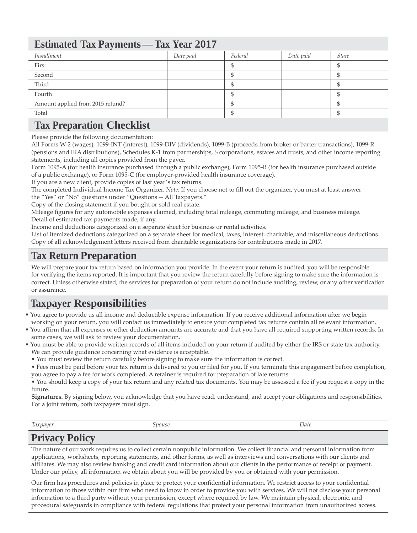# **Estimated Tax Payments—Tax Year 2017**

| Installment<br>Date paid<br>Date paid<br>Federal<br><i>State</i><br>First<br>Second<br>Third<br>Fourth |                                  |  |  |
|--------------------------------------------------------------------------------------------------------|----------------------------------|--|--|
|                                                                                                        |                                  |  |  |
|                                                                                                        |                                  |  |  |
|                                                                                                        |                                  |  |  |
|                                                                                                        |                                  |  |  |
|                                                                                                        |                                  |  |  |
|                                                                                                        | Amount applied from 2015 refund? |  |  |
| Total                                                                                                  |                                  |  |  |

# **Tax Preparation Checklist**

Please provide the following documentation:

All Forms W-2 (wages), 1099-INT (interest), 1099-DIV (dividends), 1099-B (proceeds from broker or barter transactions), 1099-R (pensions and IRA distributions), Schedules K-1 from partnerships, S corporations, estates and trusts, and other income reporting statements, including all copies provided from the payer.

Form 1095-A (for health insurance purchased through a public exchange), Form 1095-B (for health insurance purchased outside of a public exchange), or Form 1095-C (for employer-provided health insurance coverage).

If you are a new client, provide copies of last year's tax returns.

The completed Individual Income Tax Organizer. *Note:* If you choose not to fill out the organizer, you must at least answer the "Yes" or "No" questions under "Questions—All Taxpayers."

Copy of the closing statement if you bought or sold real estate.

Mileage figures for any automobile expenses claimed, including total mileage, commuting mileage, and business mileage. Detail of estimated tax payments made, if any.

Income and deductions categorized on a separate sheet for business or rental activities.

List of itemized deductions categorized on a separate sheet for medical, taxes, interest, charitable, and miscellaneous deductions. Copy of all acknowledgement letters received from charitable organizations for contributions made in 2017.

# **Tax Return Preparation**

We will prepare your tax return based on information you provide. In the event your return is audited, you will be responsible for verifying the items reported. It is important that you review the return carefully before signing to make sure the information is correct. Unless otherwise stated, the services for preparation of your return do not include auditing, review, or any other verification or assurance.

# **Taxpayer Responsibilities**

- You agree to provide us all income and deductible expense information. If you receive additional information after we begin working on your return, you will contact us immediately to ensure your completed tax returns contain all relevant information.
- You affirm that all expenses or other deduction amounts are accurate and that you have all required supporting written records. In some cases, we will ask to review your documentation.
- You must be able to provide written records of all items included on your return if audited by either the IRS or state tax authority. We can provide guidance concerning what evidence is acceptable.
	- You must review the return carefully before signing to make sure the information is correct.

• Fees must be paid before your tax return is delivered to you or filed for you. If you terminate this engagement before completion, you agree to pay a fee for work completed. A retainer is required for preparation of late returns.

• You should keep a copy of your tax return and any related tax documents. You may be assessed a fee if you request a copy in the future.

**Signatures.** By signing below, you acknowledge that you have read, understand, and accept your obligations and responsibilities. For a joint return, both taxpayers must sign.

*Taxpayer Spouse Date*

# **Privacy Policy**

The nature of our work requires us to collect certain nonpublic information. We collect financial and personal information from applications, worksheets, reporting statements, and other forms, as well as interviews and conversations with our clients and affiliates. We may also review banking and credit card information about our clients in the performance of receipt of payment. Under our policy, all information we obtain about you will be provided by you or obtained with your permission.

Our firm has procedures and policies in place to protect your confidential information. We restrict access to your confidential information to those within our firm who need to know in order to provide you with services. We will not disclose your personal information to a third party without your permission, except where required by law. We maintain physical, electronic, and procedural safeguards in compliance with federal regulations that protect your personal information from unauthorized access.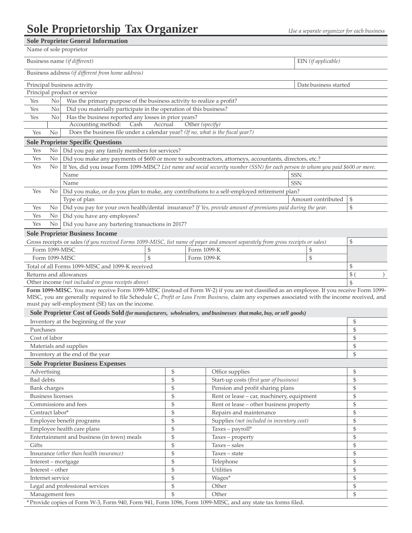#### **Sole Proprietor General Information**

|                                                                                                                               |                                                                         | sole proprietor General Information                                                                                                            |         |                 |            |                       |               |  |  |  |  |
|-------------------------------------------------------------------------------------------------------------------------------|-------------------------------------------------------------------------|------------------------------------------------------------------------------------------------------------------------------------------------|---------|-----------------|------------|-----------------------|---------------|--|--|--|--|
|                                                                                                                               |                                                                         | Name of sole proprietor                                                                                                                        |         |                 |            |                       |               |  |  |  |  |
|                                                                                                                               | Business name (if different)<br>EIN (if applicable)                     |                                                                                                                                                |         |                 |            |                       |               |  |  |  |  |
|                                                                                                                               |                                                                         | Business address (if different from home address)                                                                                              |         |                 |            |                       |               |  |  |  |  |
|                                                                                                                               |                                                                         | Principal business activity                                                                                                                    |         |                 |            | Date business started |               |  |  |  |  |
|                                                                                                                               |                                                                         | Principal product or service                                                                                                                   |         |                 |            |                       |               |  |  |  |  |
| No<br>Was the primary purpose of the business activity to realize a profit?<br>Yes                                            |                                                                         |                                                                                                                                                |         |                 |            |                       |               |  |  |  |  |
| Yes                                                                                                                           | No<br>Did you materially participate in the operation of this business? |                                                                                                                                                |         |                 |            |                       |               |  |  |  |  |
| Yes                                                                                                                           | N <sub>o</sub>                                                          | Has the business reported any losses in prior years?                                                                                           |         |                 |            |                       |               |  |  |  |  |
|                                                                                                                               |                                                                         | Accounting method:<br>Cash                                                                                                                     | Accrual | Other (specify) |            |                       |               |  |  |  |  |
| Yes                                                                                                                           | No                                                                      | Does the business file under a calendar year? (If no, what is the fiscal year?)                                                                |         |                 |            |                       |               |  |  |  |  |
|                                                                                                                               |                                                                         | <b>Sole Proprietor Specific Questions</b>                                                                                                      |         |                 |            |                       |               |  |  |  |  |
| Yes                                                                                                                           |                                                                         | No   Did you pay any family members for services?                                                                                              |         |                 |            |                       |               |  |  |  |  |
| Yes                                                                                                                           | $\overline{N_{0}}$                                                      | Did you make any payments of \$600 or more to subcontractors, attorneys, accountants, directors, etc.?                                         |         |                 |            |                       |               |  |  |  |  |
| Yes                                                                                                                           | No                                                                      | If Yes, did you issue Form 1099-MISC? List name and social security number (SSN) for each person to whom you paid \$600 or more.               |         |                 |            |                       |               |  |  |  |  |
|                                                                                                                               |                                                                         | Name                                                                                                                                           |         |                 | <b>SSN</b> |                       |               |  |  |  |  |
|                                                                                                                               |                                                                         | Name                                                                                                                                           |         |                 | <b>SSN</b> |                       |               |  |  |  |  |
| Yes                                                                                                                           | No.                                                                     | Did you make, or do you plan to make, any contributions to a self-employed retirement plan?                                                    |         |                 |            |                       |               |  |  |  |  |
|                                                                                                                               | $\mathbb{S}$<br>Type of plan<br>Amount contributed                      |                                                                                                                                                |         |                 |            |                       |               |  |  |  |  |
| \$<br>Did you pay for your own health/dental insurance? If Yes, provide amount of premiums paid during the year.<br>Yes<br>No |                                                                         |                                                                                                                                                |         |                 |            |                       |               |  |  |  |  |
| Yes                                                                                                                           | $\overline{N_{0}}$                                                      | Did you have any employees?                                                                                                                    |         |                 |            |                       |               |  |  |  |  |
| Yes                                                                                                                           | No.                                                                     | Did you have any bartering transactions in 2017?                                                                                               |         |                 |            |                       |               |  |  |  |  |
|                                                                                                                               |                                                                         | <b>Sole Proprietor Business Income</b>                                                                                                         |         |                 |            |                       |               |  |  |  |  |
|                                                                                                                               |                                                                         | Gross receipts or sales (if you received Forms 1099-MISC, list name of payer and amount separately from gross receipts or sales)               |         |                 |            |                       | \$            |  |  |  |  |
|                                                                                                                               | Form 1099-MISC                                                          | \$                                                                                                                                             |         | Form 1099-K     |            | \$                    |               |  |  |  |  |
|                                                                                                                               |                                                                         | \$<br>Form 1099-MISC                                                                                                                           |         | Form 1099-K     |            | \$                    |               |  |  |  |  |
|                                                                                                                               |                                                                         | Total of all Forms 1099-MISC and 1099-K received                                                                                               |         |                 |            |                       | \$            |  |  |  |  |
|                                                                                                                               |                                                                         | Returns and allowances                                                                                                                         |         |                 |            |                       | \$            |  |  |  |  |
|                                                                                                                               |                                                                         | Other income (not included in gross receipts above)                                                                                            |         |                 |            |                       | \$            |  |  |  |  |
|                                                                                                                               |                                                                         | Form 1099-MISC. You may receive Form 1099-MISC (instead of Form W-2) if you are not classified as an employee. If you receive Form 1099-       |         |                 |            |                       |               |  |  |  |  |
|                                                                                                                               |                                                                         | MISC, you are generally required to file Schedule C, Profit or Loss From Business, claim any expenses associated with the income received, and |         |                 |            |                       |               |  |  |  |  |
|                                                                                                                               |                                                                         | must pay self-employment (SE) tax on the income.                                                                                               |         |                 |            |                       |               |  |  |  |  |
|                                                                                                                               |                                                                         | Sole Proprietor Cost of Goods Sold (for manufacturers, wholesalers, and businesses that make, buy, or sell goods)                              |         |                 |            |                       |               |  |  |  |  |
|                                                                                                                               |                                                                         | Inventory at the beginning of the year                                                                                                         |         |                 |            |                       | \$            |  |  |  |  |
| Purchases                                                                                                                     |                                                                         |                                                                                                                                                |         |                 |            |                       | \$            |  |  |  |  |
| Cost of labor                                                                                                                 |                                                                         |                                                                                                                                                |         |                 |            |                       | $\mathbb{S}$  |  |  |  |  |
|                                                                                                                               |                                                                         | Materials and supplies                                                                                                                         |         |                 |            |                       | $\mathcal{S}$ |  |  |  |  |
|                                                                                                                               |                                                                         | Inventory at the end of the year                                                                                                               |         |                 |            |                       | \$            |  |  |  |  |
|                                                                                                                               |                                                                         | <b>Sole Proprietor Business Expenses</b>                                                                                                       |         |                 |            |                       |               |  |  |  |  |
| Advertising                                                                                                                   |                                                                         |                                                                                                                                                | \$      | Office supplies |            |                       | \$            |  |  |  |  |
| $\mathfrak{S}$<br>$\mathbb{S}$<br>Bad debts<br>Start-up costs (first year of business)                                        |                                                                         |                                                                                                                                                |         |                 |            |                       |               |  |  |  |  |

| Bad debts                                                                                                   | \$ | Start-up costs (first year of business)   |  |  |  |  |
|-------------------------------------------------------------------------------------------------------------|----|-------------------------------------------|--|--|--|--|
| Bank charges                                                                                                | \$ | Pension and profit sharing plans          |  |  |  |  |
| <b>Business licenses</b>                                                                                    | \$ | Rent or lease - car, machinery, equipment |  |  |  |  |
| Commissions and fees                                                                                        | \$ | Rent or lease - other business property   |  |  |  |  |
| Contract labor*                                                                                             | \$ | Repairs and maintenance                   |  |  |  |  |
| Employee benefit programs                                                                                   | \$ | Supplies (not included in inventory cost) |  |  |  |  |
| Employee health care plans                                                                                  | \$ | $Taxes - payroll*$                        |  |  |  |  |
| Entertainment and business (in town) meals                                                                  | S  | Taxes – property                          |  |  |  |  |
| Gifts                                                                                                       | \$ | $Taxes - sales$                           |  |  |  |  |
| Insurance (other than health insurance)                                                                     | \$ | Taxes - state                             |  |  |  |  |
| Interest – mortgage                                                                                         | \$ | Telephone                                 |  |  |  |  |
| Interest – other                                                                                            | \$ | <b>Utilities</b>                          |  |  |  |  |
| Internet service                                                                                            | \$ | Wages*                                    |  |  |  |  |
| Legal and professional services                                                                             | \$ | Other                                     |  |  |  |  |
| Management fees                                                                                             | \$ | Other                                     |  |  |  |  |
| * Provide copies of Form W-3, Form 940, Form 941, Form 1096, Form 1099-MISC, and any state tax forms filed. |    |                                           |  |  |  |  |
|                                                                                                             |    |                                           |  |  |  |  |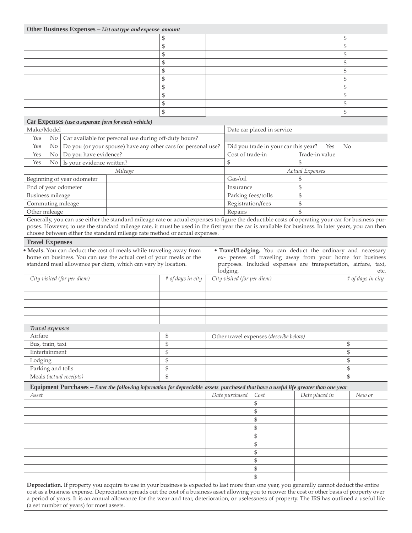**Other Business Expenses –** *List out type and expense amount*

**Car Expenses** *(use a separate form for each vehicle)*

| $ -$ |  |  |
|------|--|--|
|      |  |  |
|      |  |  |
|      |  |  |
|      |  |  |
|      |  |  |
|      |  |  |
|      |  |  |
|      |  |  |
|      |  |  |
|      |  |  |
|      |  |  |

| Make/Model           |                                                               | Date car placed in service           |                 |
|----------------------|---------------------------------------------------------------|--------------------------------------|-----------------|
| Yes                  | No   Car available for personal use during off-duty hours?    |                                      |                 |
| Yes<br>No            | Do you (or your spouse) have any other cars for personal use? | Did you trade in your car this year? | Yes No          |
| Yes<br>No            | Do you have evidence?                                         | Cost of trade-in                     | Trade-in value  |
| Yes                  | No Is your evidence written?                                  |                                      |                 |
|                      | Mileage                                                       |                                      | Actual Expenses |
|                      | Beginning of year odometer                                    | Gas/oil                              |                 |
| End of year odometer |                                                               | Insurance                            |                 |
| Business mileage     |                                                               | Parking fees/tolls                   |                 |
| Commuting mileage    |                                                               | Registration/fees                    |                 |
| Other mileage        |                                                               | Repairs                              |                 |

Generally, you can use either the standard mileage rate or actual expenses to figure the deductible costs of operating your car for business purposes. However, to use the standard mileage rate, it must be used in the first year the car is available for business. In later years, you can then choose between either the standard mileage rate method or actual expenses.

#### **Travel Expenses**

• **Meals.** You can deduct the cost of meals while traveling away from home on business. You can use the actual cost of your meals or the standard meal allowance per diem, which can vary by location.

• **Travel/Lodging.** You can deduct the ordinary and necessary ex- penses of traveling away from your home for business purposes. Included expenses are transportation, airfare, taxi, lodging, etc.

| City visited (for per diem) | # of days in city | $\circ$ $\circ$<br>City visited (for per diem) | # of days in city |
|-----------------------------|-------------------|------------------------------------------------|-------------------|
|                             |                   |                                                |                   |
|                             |                   |                                                |                   |
|                             |                   |                                                |                   |
|                             |                   |                                                |                   |
|                             |                   |                                                |                   |
| Travel expenses             |                   |                                                |                   |
| Airfare                     |                   | Other travel expenses (describe below)         |                   |
| Bus, train, taxi            | æ                 |                                                | r.                |
| Entertainment               |                   |                                                | л                 |
| Lodging                     |                   |                                                | л                 |
| Parking and tolls           |                   |                                                |                   |
| Meals (actual receipts)     |                   |                                                | æ                 |

| Equipment Purchases - Enter the following information for depreciable assets purchased that have a useful life greater than one year |                |      |                |        |
|--------------------------------------------------------------------------------------------------------------------------------------|----------------|------|----------------|--------|
| Asset                                                                                                                                | Date purchased | Cost | Date placed in | New or |
|                                                                                                                                      |                |      |                |        |
|                                                                                                                                      |                |      |                |        |
|                                                                                                                                      |                |      |                |        |
|                                                                                                                                      |                |      |                |        |
|                                                                                                                                      |                |      |                |        |
|                                                                                                                                      |                |      |                |        |
|                                                                                                                                      |                |      |                |        |
|                                                                                                                                      |                |      |                |        |
|                                                                                                                                      |                |      |                |        |
|                                                                                                                                      |                |      |                |        |

**Depreciation.** If property you acquire to use in your business is expected to last more than one year, you generally cannot deduct the entire cost as a business expense. Depreciation spreads out the cost of a business asset allowing you to recover the cost or other basis of property over a period of years. It is an annual allowance for the wear and tear, deterioration, or uselessness of property. The IRS has outlined a useful life (a set number of years) for most assets.